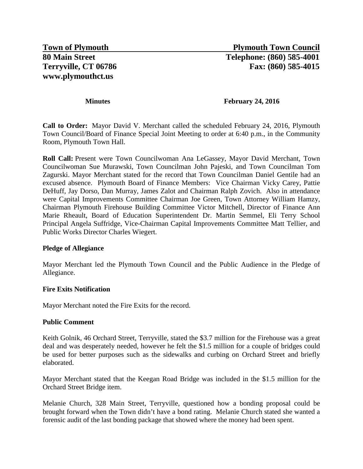#### **Minutes February 24, 2016**

**Call to Order:** Mayor David V. Merchant called the scheduled February 24, 2016, Plymouth Town Council/Board of Finance Special Joint Meeting to order at 6:40 p.m., in the Community Room, Plymouth Town Hall.

**Roll Call:** Present were Town Councilwoman Ana LeGassey, Mayor David Merchant, Town Councilwoman Sue Murawski, Town Councilman John Pajeski, and Town Councilman Tom Zagurski. Mayor Merchant stated for the record that Town Councilman Daniel Gentile had an excused absence. Plymouth Board of Finance Members: Vice Chairman Vicky Carey, Pattie DeHuff, Jay Dorso, Dan Murray, James Zalot and Chairman Ralph Zovich. Also in attendance were Capital Improvements Committee Chairman Joe Green, Town Attorney William Hamzy, Chairman Plymouth Firehouse Building Committee Victor Mitchell, Director of Finance Ann Marie Rheault, Board of Education Superintendent Dr. Martin Semmel, Eli Terry School Principal Angela Suffridge, Vice-Chairman Capital Improvements Committee Matt Tellier, and Public Works Director Charles Wiegert.

#### **Pledge of Allegiance**

Mayor Merchant led the Plymouth Town Council and the Public Audience in the Pledge of Allegiance.

#### **Fire Exits Notification**

Mayor Merchant noted the Fire Exits for the record.

#### **Public Comment**

Keith Golnik, 46 Orchard Street, Terryville, stated the \$3.7 million for the Firehouse was a great deal and was desperately needed, however he felt the \$1.5 million for a couple of bridges could be used for better purposes such as the sidewalks and curbing on Orchard Street and briefly elaborated.

Mayor Merchant stated that the Keegan Road Bridge was included in the \$1.5 million for the Orchard Street Bridge item.

Melanie Church, 328 Main Street, Terryville, questioned how a bonding proposal could be brought forward when the Town didn't have a bond rating. Melanie Church stated she wanted a forensic audit of the last bonding package that showed where the money had been spent.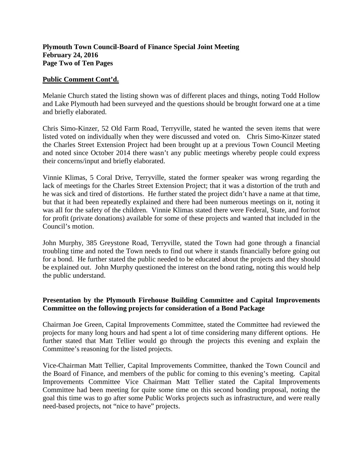## **Plymouth Town Council-Board of Finance Special Joint Meeting February 24, 2016 Page Two of Ten Pages**

#### **Public Comment Cont'd.**

Melanie Church stated the listing shown was of different places and things, noting Todd Hollow and Lake Plymouth had been surveyed and the questions should be brought forward one at a time and briefly elaborated.

Chris Simo-Kinzer, 52 Old Farm Road, Terryville, stated he wanted the seven items that were listed voted on individually when they were discussed and voted on. Chris Simo-Kinzer stated the Charles Street Extension Project had been brought up at a previous Town Council Meeting and noted since October 2014 there wasn't any public meetings whereby people could express their concerns/input and briefly elaborated.

Vinnie Klimas, 5 Coral Drive, Terryville, stated the former speaker was wrong regarding the lack of meetings for the Charles Street Extension Project; that it was a distortion of the truth and he was sick and tired of distortions. He further stated the project didn't have a name at that time, but that it had been repeatedly explained and there had been numerous meetings on it, noting it was all for the safety of the children. Vinnie Klimas stated there were Federal, State, and for/not for profit (private donations) available for some of these projects and wanted that included in the Council's motion.

John Murphy, 385 Greystone Road, Terryville, stated the Town had gone through a financial troubling time and noted the Town needs to find out where it stands financially before going out for a bond. He further stated the public needed to be educated about the projects and they should be explained out. John Murphy questioned the interest on the bond rating, noting this would help the public understand.

### **Presentation by the Plymouth Firehouse Building Committee and Capital Improvements Committee on the following projects for consideration of a Bond Package**

Chairman Joe Green, Capital Improvements Committee, stated the Committee had reviewed the projects for many long hours and had spent a lot of time considering many different options. He further stated that Matt Tellier would go through the projects this evening and explain the Committee's reasoning for the listed projects.

Vice-Chairman Matt Tellier, Capital Improvements Committee, thanked the Town Council and the Board of Finance, and members of the public for coming to this evening's meeting. Capital Improvements Committee Vice Chairman Matt Tellier stated the Capital Improvements Committee had been meeting for quite some time on this second bonding proposal, noting the goal this time was to go after some Public Works projects such as infrastructure, and were really need-based projects, not "nice to have" projects.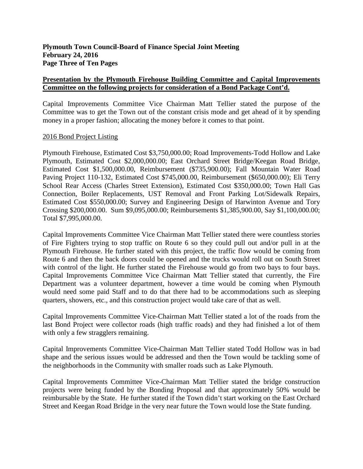Capital Improvements Committee Vice Chairman Matt Tellier stated the purpose of the Committee was to get the Town out of the constant crisis mode and get ahead of it by spending money in a proper fashion; allocating the money before it comes to that point.

### 2016 Bond Project Listing

Plymouth Firehouse, Estimated Cost \$3,750,000.00; Road Improvements-Todd Hollow and Lake Plymouth, Estimated Cost \$2,000,000.00; East Orchard Street Bridge/Keegan Road Bridge, Estimated Cost \$1,500,000.00, Reimbursement (\$735,900.00); Fall Mountain Water Road Paving Project 110-132, Estimated Cost \$745,000.00, Reimbursement (\$650,000.00); Eli Terry School Rear Access (Charles Street Extension), Estimated Cost \$350,000.00; Town Hall Gas Connection, Boiler Replacements, UST Removal and Front Parking Lot/Sidewalk Repairs, Estimated Cost \$550,000.00; Survey and Engineering Design of Harwinton Avenue and Tory Crossing \$200,000.00. Sum \$9,095,000.00; Reimbursements \$1,385,900.00, Say \$1,100,000.00; Total \$7,995,000.00.

Capital Improvements Committee Vice Chairman Matt Tellier stated there were countless stories of Fire Fighters trying to stop traffic on Route 6 so they could pull out and/or pull in at the Plymouth Firehouse. He further stated with this project, the traffic flow would be coming from Route 6 and then the back doors could be opened and the trucks would roll out on South Street with control of the light. He further stated the Firehouse would go from two bays to four bays. Capital Improvements Committee Vice Chairman Matt Tellier stated that currently, the Fire Department was a volunteer department, however a time would be coming when Plymouth would need some paid Staff and to do that there had to be accommodations such as sleeping quarters, showers, etc., and this construction project would take care of that as well.

Capital Improvements Committee Vice-Chairman Matt Tellier stated a lot of the roads from the last Bond Project were collector roads (high traffic roads) and they had finished a lot of them with only a few stragglers remaining.

Capital Improvements Committee Vice-Chairman Matt Tellier stated Todd Hollow was in bad shape and the serious issues would be addressed and then the Town would be tackling some of the neighborhoods in the Community with smaller roads such as Lake Plymouth.

Capital Improvements Committee Vice-Chairman Matt Tellier stated the bridge construction projects were being funded by the Bonding Proposal and that approximately 50% would be reimbursable by the State. He further stated if the Town didn't start working on the East Orchard Street and Keegan Road Bridge in the very near future the Town would lose the State funding.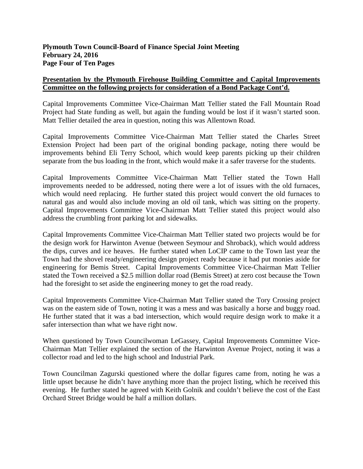Capital Improvements Committee Vice-Chairman Matt Tellier stated the Fall Mountain Road Project had State funding as well, but again the funding would be lost if it wasn't started soon. Matt Tellier detailed the area in question, noting this was Allentown Road.

Capital Improvements Committee Vice-Chairman Matt Tellier stated the Charles Street Extension Project had been part of the original bonding package, noting there would be improvements behind Eli Terry School, which would keep parents picking up their children separate from the bus loading in the front, which would make it a safer traverse for the students.

Capital Improvements Committee Vice-Chairman Matt Tellier stated the Town Hall improvements needed to be addressed, noting there were a lot of issues with the old furnaces, which would need replacing. He further stated this project would convert the old furnaces to natural gas and would also include moving an old oil tank, which was sitting on the property. Capital Improvements Committee Vice-Chairman Matt Tellier stated this project would also address the crumbling front parking lot and sidewalks.

Capital Improvements Committee Vice-Chairman Matt Tellier stated two projects would be for the design work for Harwinton Avenue (between Seymour and Shroback), which would address the dips, curves and ice heaves. He further stated when LoCIP came to the Town last year the Town had the shovel ready/engineering design project ready because it had put monies aside for engineering for Bemis Street. Capital Improvements Committee Vice-Chairman Matt Tellier stated the Town received a \$2.5 million dollar road (Bemis Street) at zero cost because the Town had the foresight to set aside the engineering money to get the road ready.

Capital Improvements Committee Vice-Chairman Matt Tellier stated the Tory Crossing project was on the eastern side of Town, noting it was a mess and was basically a horse and buggy road. He further stated that it was a bad intersection, which would require design work to make it a safer intersection than what we have right now.

When questioned by Town Councilwoman LeGassey, Capital Improvements Committee Vice-Chairman Matt Tellier explained the section of the Harwinton Avenue Project, noting it was a collector road and led to the high school and Industrial Park.

Town Councilman Zagurski questioned where the dollar figures came from, noting he was a little upset because he didn't have anything more than the project listing, which he received this evening. He further stated he agreed with Keith Golnik and couldn't believe the cost of the East Orchard Street Bridge would be half a million dollars.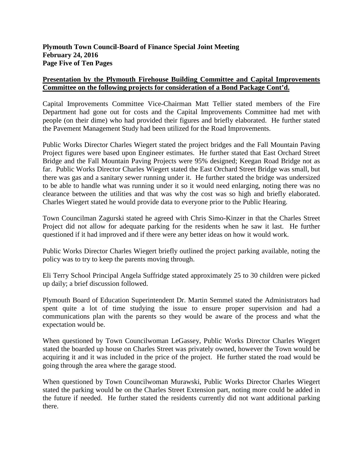Capital Improvements Committee Vice-Chairman Matt Tellier stated members of the Fire Department had gone out for costs and the Capital Improvements Committee had met with people (on their dime) who had provided their figures and briefly elaborated. He further stated the Pavement Management Study had been utilized for the Road Improvements.

Public Works Director Charles Wiegert stated the project bridges and the Fall Mountain Paving Project figures were based upon Engineer estimates. He further stated that East Orchard Street Bridge and the Fall Mountain Paving Projects were 95% designed; Keegan Road Bridge not as far. Public Works Director Charles Wiegert stated the East Orchard Street Bridge was small, but there was gas and a sanitary sewer running under it. He further stated the bridge was undersized to be able to handle what was running under it so it would need enlarging, noting there was no clearance between the utilities and that was why the cost was so high and briefly elaborated. Charles Wiegert stated he would provide data to everyone prior to the Public Hearing.

Town Councilman Zagurski stated he agreed with Chris Simo-Kinzer in that the Charles Street Project did not allow for adequate parking for the residents when he saw it last. He further questioned if it had improved and if there were any better ideas on how it would work.

Public Works Director Charles Wiegert briefly outlined the project parking available, noting the policy was to try to keep the parents moving through.

Eli Terry School Principal Angela Suffridge stated approximately 25 to 30 children were picked up daily; a brief discussion followed.

Plymouth Board of Education Superintendent Dr. Martin Semmel stated the Administrators had spent quite a lot of time studying the issue to ensure proper supervision and had a communications plan with the parents so they would be aware of the process and what the expectation would be.

When questioned by Town Councilwoman LeGassey, Public Works Director Charles Wiegert stated the boarded up house on Charles Street was privately owned, however the Town would be acquiring it and it was included in the price of the project. He further stated the road would be going through the area where the garage stood.

When questioned by Town Councilwoman Murawski, Public Works Director Charles Wiegert stated the parking would be on the Charles Street Extension part, noting more could be added in the future if needed. He further stated the residents currently did not want additional parking there.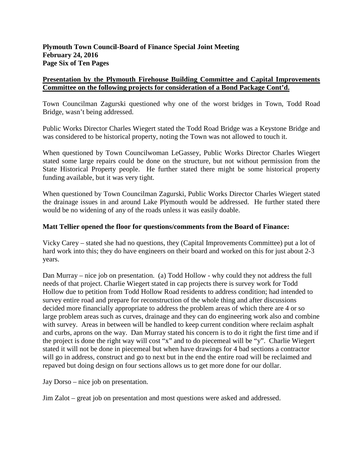Town Councilman Zagurski questioned why one of the worst bridges in Town, Todd Road Bridge, wasn't being addressed.

Public Works Director Charles Wiegert stated the Todd Road Bridge was a Keystone Bridge and was considered to be historical property, noting the Town was not allowed to touch it.

When questioned by Town Councilwoman LeGassey, Public Works Director Charles Wiegert stated some large repairs could be done on the structure, but not without permission from the State Historical Property people. He further stated there might be some historical property funding available, but it was very tight.

When questioned by Town Councilman Zagurski, Public Works Director Charles Wiegert stated the drainage issues in and around Lake Plymouth would be addressed. He further stated there would be no widening of any of the roads unless it was easily doable.

# **Matt Tellier opened the floor for questions/comments from the Board of Finance:**

Vicky Carey – stated she had no questions, they (Capital Improvements Committee) put a lot of hard work into this; they do have engineers on their board and worked on this for just about 2-3 years.

Dan Murray – nice job on presentation. (a) Todd Hollow - why could they not address the full needs of that project. Charlie Wiegert stated in cap projects there is survey work for Todd Hollow due to petition from Todd Hollow Road residents to address condition; had intended to survey entire road and prepare for reconstruction of the whole thing and after discussions decided more financially appropriate to address the problem areas of which there are 4 or so large problem areas such as curves, drainage and they can do engineering work also and combine with survey. Areas in between will be handled to keep current condition where reclaim asphalt and curbs, aprons on the way. Dan Murray stated his concern is to do it right the first time and if the project is done the right way will cost "x" and to do piecemeal will be "y". Charlie Wiegert stated it will not be done in piecemeal but when have drawings for 4 bad sections a contractor will go in address, construct and go to next but in the end the entire road will be reclaimed and repaved but doing design on four sections allows us to get more done for our dollar.

Jay Dorso – nice job on presentation.

Jim Zalot – great job on presentation and most questions were asked and addressed.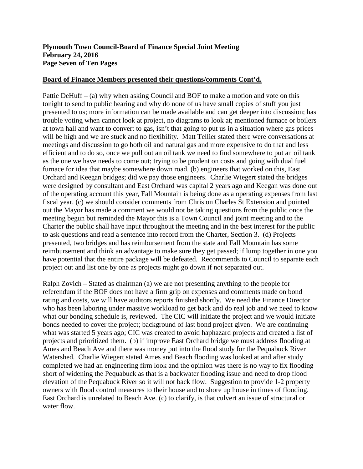# **Plymouth Town Council-Board of Finance Special Joint Meeting February 24, 2016 Page Seven of Ten Pages**

#### **Board of Finance Members presented their questions/comments Cont'd.**

Pattie DeHuff – (a) why when asking Council and BOF to make a motion and vote on this tonight to send to public hearing and why do none of us have small copies of stuff you just presented to us; more information can be made available and can get deeper into discussion; has trouble voting when cannot look at project, no diagrams to look at; mentioned furnace or boilers at town hall and want to convert to gas, isn't that going to put us in a situation where gas prices will be high and we are stuck and no flexibility. Matt Tellier stated there were conversations at meetings and discussion to go both oil and natural gas and more expensive to do that and less efficient and to do so, once we pull out an oil tank we need to find somewhere to put an oil tank as the one we have needs to come out; trying to be prudent on costs and going with dual fuel furnace for idea that maybe somewhere down road. (b) engineers that worked on this, East Orchard and Keegan bridges; did we pay those engineers. Charlie Wiegert stated the bridges were designed by consultant and East Orchard was capital 2 years ago and Keegan was done out of the operating account this year, Fall Mountain is being done as a operating expenses from last fiscal year. (c) we should consider comments from Chris on Charles St Extension and pointed out the Mayor has made a comment we would not be taking questions from the public once the meeting begun but reminded the Mayor this is a Town Council and joint meeting and to the Charter the public shall have input throughout the meeting and in the best interest for the public to ask questions and read a sentence into record from the Charter, Section 3. (d) Projects presented, two bridges and has reimbursement from the state and Fall Mountain has some reimbursement and think an advantage to make sure they get passed; if lump together in one you have potential that the entire package will be defeated. Recommends to Council to separate each project out and list one by one as projects might go down if not separated out.

Ralph Zovich – Stated as chairman (a) we are not presenting anything to the people for referendum if the BOF does not have a firm grip on expenses and comments made on bond rating and costs, we will have auditors reports finished shortly. We need the Finance Director who has been laboring under massive workload to get back and do real job and we need to know what our bonding schedule is, reviewed. The CIC will initiate the project and we would initiate bonds needed to cover the project; background of last bond project given. We are continuing what was started 5 years ago; CIC was created to avoid haphazard projects and created a list of projects and prioritized them. (b) if improve East Orchard bridge we must address flooding at Ames and Beach Ave and there was money put into the flood study for the Pequabuck River Watershed. Charlie Wiegert stated Ames and Beach flooding was looked at and after study completed we had an engineering firm look and the opinion was there is no way to fix flooding short of widening the Pequabuck as that is a backwater flooding issue and need to drop flood elevation of the Pequabuck River so it will not back flow. Suggestion to provide 1-2 property owners with flood control measures to their house and to shore up house in times of flooding. East Orchard is unrelated to Beach Ave. (c) to clarify, is that culvert an issue of structural or water flow.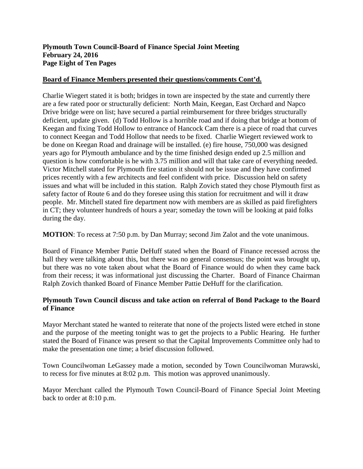# **Plymouth Town Council-Board of Finance Special Joint Meeting February 24, 2016 Page Eight of Ten Pages**

### **Board of Finance Members presented their questions/comments Cont'd.**

Charlie Wiegert stated it is both; bridges in town are inspected by the state and currently there are a few rated poor or structurally deficient: North Main, Keegan, East Orchard and Napco Drive bridge were on list; have secured a partial reimbursement for three bridges structurally deficient, update given. (d) Todd Hollow is a horrible road and if doing that bridge at bottom of Keegan and fixing Todd Hollow to entrance of Hancock Cam there is a piece of road that curves to connect Keegan and Todd Hollow that needs to be fixed. Charlie Wiegert reviewed work to be done on Keegan Road and drainage will be installed. (e) fire house, 750,000 was designed years ago for Plymouth ambulance and by the time finished design ended up 2.5 million and question is how comfortable is he with 3.75 million and will that take care of everything needed. Victor Mitchell stated for Plymouth fire station it should not be issue and they have confirmed prices recently with a few architects and feel confident with price. Discussion held on safety issues and what will be included in this station. Ralph Zovich stated they chose Plymouth first as safety factor of Route 6 and do they foresee using this station for recruitment and will it draw people. Mr. Mitchell stated fire department now with members are as skilled as paid firefighters in CT; they volunteer hundreds of hours a year; someday the town will be looking at paid folks during the day.

**MOTION**: To recess at 7:50 p.m. by Dan Murray; second Jim Zalot and the vote unanimous.

Board of Finance Member Pattie DeHuff stated when the Board of Finance recessed across the hall they were talking about this, but there was no general consensus; the point was brought up, but there was no vote taken about what the Board of Finance would do when they came back from their recess; it was informational just discussing the Charter. Board of Finance Chairman Ralph Zovich thanked Board of Finance Member Pattie DeHuff for the clarification.

# **Plymouth Town Council discuss and take action on referral of Bond Package to the Board of Finance**

Mayor Merchant stated he wanted to reiterate that none of the projects listed were etched in stone and the purpose of the meeting tonight was to get the projects to a Public Hearing. He further stated the Board of Finance was present so that the Capital Improvements Committee only had to make the presentation one time; a brief discussion followed.

Town Councilwoman LeGassey made a motion, seconded by Town Councilwoman Murawski, to recess for five minutes at 8:02 p.m. This motion was approved unanimously.

Mayor Merchant called the Plymouth Town Council-Board of Finance Special Joint Meeting back to order at 8:10 p.m.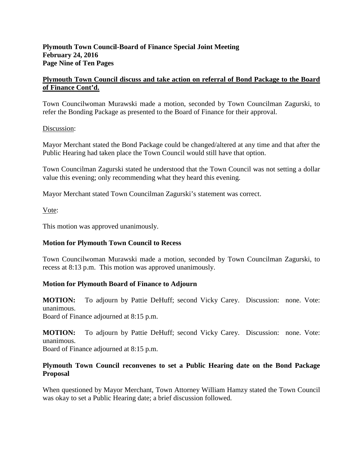## **Plymouth Town Council-Board of Finance Special Joint Meeting February 24, 2016 Page Nine of Ten Pages**

# **Plymouth Town Council discuss and take action on referral of Bond Package to the Board of Finance Cont'd.**

Town Councilwoman Murawski made a motion, seconded by Town Councilman Zagurski, to refer the Bonding Package as presented to the Board of Finance for their approval.

### Discussion:

Mayor Merchant stated the Bond Package could be changed/altered at any time and that after the Public Hearing had taken place the Town Council would still have that option.

Town Councilman Zagurski stated he understood that the Town Council was not setting a dollar value this evening; only recommending what they heard this evening.

Mayor Merchant stated Town Councilman Zagurski's statement was correct.

Vote:

This motion was approved unanimously.

# **Motion for Plymouth Town Council to Recess**

Town Councilwoman Murawski made a motion, seconded by Town Councilman Zagurski, to recess at 8:13 p.m. This motion was approved unanimously.

# **Motion for Plymouth Board of Finance to Adjourn**

**MOTION:** To adjourn by Pattie DeHuff; second Vicky Carey. Discussion: none. Vote: unanimous.

Board of Finance adjourned at 8:15 p.m.

**MOTION:** To adjourn by Pattie DeHuff; second Vicky Carey. Discussion: none. Vote: unanimous. Board of Finance adjourned at 8:15 p.m.

### **Plymouth Town Council reconvenes to set a Public Hearing date on the Bond Package Proposal**

When questioned by Mayor Merchant, Town Attorney William Hamzy stated the Town Council was okay to set a Public Hearing date; a brief discussion followed.